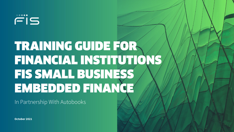# TRAINING GUIDE FOR FINANCIAL INSTITUTIONS FIS SMALL BUSINESS EMBEDDED FINANCE

In Partnership With Autobooks

**October 2021**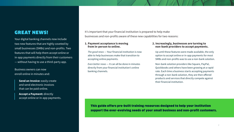## GREAT NEWS!

Your digital banking channels now include two new features that are highly coveted by small businesses (SMBs) and non-profits. Two features that will help them accept online or in-app payments directly from their customers — without having to use a third-party app.

## Business owners can now enroll online in minutes and:

**Send an Invoice: easily create** and send electronic invoices that can be paid online.

**Accept a Payment:** directly accept online or in-app payments. It's important that your financial institution is prepared to help make businesses and non-profits aware of these new capabilities for two reasons:

#### **1. Payment acceptance is moving from in-person to online.**

*The good news* — Your financial institution is now able to help businesses make that transition to accepting online payments.

*Even better news* — It can all be done in minutes directly from your financial institution's online banking channels.

#### **2. Increasingly, businesses are turning to non-bank providers to accept payments.**

Up until these features were made available, the only option to accept online or in-app payments for most SMBs and non-profits was to use a non-bank solution.

Non-bank solution providers like Square, PayPal, Quickbooks and others have been growing at a rapid rate. Each time a business starts accepting payments through a non-bank solution, they are then offered products and services that directly compete against their financial institution.

This guide offers pre-built training resources designed to help your institution support the ever-evolving needs of your small business and non-profit customers.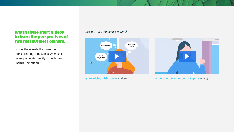## Watch these short videos to learn the perspectives of two real business owners.

Each of them made the transition from accepting in-person payments to online payments directly through their financial institution.

### *Click the video thumbnails to watch*



**[Invoicing with Lauren](https://content.autobooks.co/hubfs/FIS%20GTM%20Guide%20Assets/Invoice%20with%20Autobooks%20-%20Cartoon.mp4)** (video) 咨



**[Accept a Payment with Sophia](https://content.autobooks.co/hubfs/FIS%20GTM%20Guide%20Assets/Payment%20Form%20with%20Autobooks%20-%20Cartoon.mp4)** (video)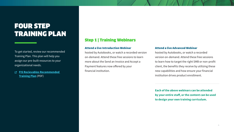## FOUR STEP TRAINING PLAN

To get started, review our recommended Training Plan. This plan will help you assign our pre-built resources to your organizational needs.

**FI[S Recievables Recommended](https://content.autobooks.co/hubfs/FIS%20Training%20Guide%20Assets/FIS%20-%20Recievables%20Recommended%20Training%20Plan.pdf)  [Training Plan](https://content.autobooks.co/hubfs/FIS%20Training%20Guide%20Assets/FIS%20-%20Recievables%20Recommended%20Training%20Plan.pdf)** (PDF)

## Step 1 | Training Webinars

#### Attend a live Introduction Webinar

hosted by Autobooks, or watch a recorded version on-demand. Attend these free sessions to learn more about the Send an Invoice and Accept a Payment features now offered by your financial institution.

#### Attend a live Advanced Webinar

hosted by Autobooks, or watch a recorded version on-demand. Attend these free sessions to learn how to target the right SMB or non-profit client, the benefits they receive by utilizing these new capabilities and how ensure your financial institution drives product enrollment.

**Each of the above webinars can be attended by your entire staff, or the content can be used to design your own training curriculum.**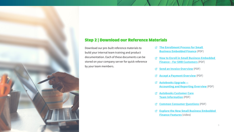

## Step 2 | Download our Reference Materials

Download our pre-built reference materials to build your internal team training and product documentation. Each of these documents can be stored on your company server for quick reference by your team members.

- **[The Enrollment Process for Small](https://content.autobooks.co/hubfs/FIS%20Training%20Guide%20Assets/FIS%20-%20Features%20Enrollment%20Guide.pdf)  [Business Embedded Finance](https://content.autobooks.co/hubfs/FIS%20Training%20Guide%20Assets/FIS%20-%20Features%20Enrollment%20Guide.pdf)** [\(PDF\)](https://content.autobooks.co/hubfs/FIS%20Training%20Guide%20Assets/Small%20Business%20Embedded%20Finance-%20The%20Enrollment%20Process%20.pdf)
- **[How to Enroll in Small Business Embedded](https://content.autobooks.co/hubfs/FIS%20Training%20Guide%20Assets/Small%20Business%20Embedded%20Finance-%20The%20Enrollment%20Process%20.pdf)  [Finance – For SMB Customers](https://content.autobooks.co/hubfs/FIS%20Training%20Guide%20Assets/Small%20Business%20Embedded%20Finance-%20The%20Enrollment%20Process%20.pdf)** (PDF)
- *E* [Send an Invoice Overview](https://content.autobooks.co/hubfs/FIS%20Training%20Guide%20Assets/FIS%20-%20Send%20an%20Invoice%20Product%20Page.pdf) (PDF)
- **[Accept a Payment Overview](https://content.autobooks.co/hubfs/FIS%20Training%20Guide%20Assets/FIS%20-%20Accept%20a%20Payment%20Product%20Page.pdf)** (PDF)
- **[Autobooks Upgrade —](https://content.autobooks.co/hubfs/FIS%20Training%20Guide%20Assets/FIS%20-%20Accounting%20and%20Reporting%20Product%20Page.pdf) [Accounting and Reporting Overview](https://content.autobooks.co/hubfs/FIS%20Training%20Guide%20Assets/FIS%20-%20Accounting%20and%20Reporting%20Product%20Page.pdf)** (PDF)
- **[Autobooks Customer Care](https://content.autobooks.co/hubfs/FIS%20Training%20Guide%20Assets/FIS%20-%20Autobooks%20Customer%20Care%20Support%20Hours%20and%20SLAs.pdf) [Team Information](https://content.autobooks.co/hubfs/FIS%20Training%20Guide%20Assets/FIS%20-%20Autobooks%20Customer%20Care%20Support%20Hours%20and%20SLAs.pdf)** (PDF)
- **[Common Consumer Questions](https://content.autobooks.co/hubfs/FIS%20Training%20Guide%20Assets/FIS%20-%20Send%20Invoice_Accept%20Payments%20Common%20Consumer%20Questions.pdf)** (PDF)
- **[Explore the New Small Business Embedded](http://learn.autobooks.co/fis-training-page-signup-2022-0)  [Finance Features](http://learn.autobooks.co/fis-training-page-signup-2022-0)** (video)